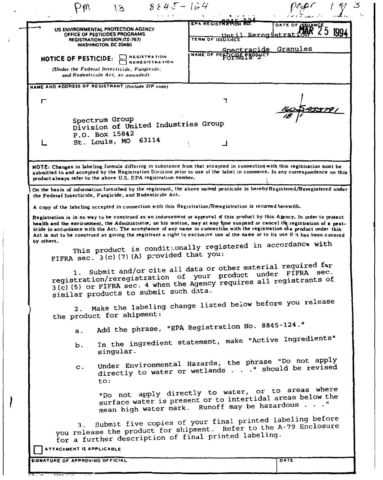| US ENVIRONMENTAL PROTECTION AGENCY                                                                                                                                                                                                                                                                                                                                                                                                                                                                                      | EPA REGISTRATION RO.                | DATE OF ISSUA        |
|-------------------------------------------------------------------------------------------------------------------------------------------------------------------------------------------------------------------------------------------------------------------------------------------------------------------------------------------------------------------------------------------------------------------------------------------------------------------------------------------------------------------------|-------------------------------------|----------------------|
| OFFICE OF PESTICIDES PROGRAMS<br><b>REGISTRATION DIVISION (TS-767)</b><br>WASHINGTON, DC 20460                                                                                                                                                                                                                                                                                                                                                                                                                          | Reregi<br>Int11<br>TERM OF ISSUANCE | ktrat                |
| <b>IEGISTRATION</b><br><b>NOTICE OF PESTICIDE:</b><br><b>REREGISTRATION</b>                                                                                                                                                                                                                                                                                                                                                                                                                                             | NAME OF PESTICING PRODUCT           | Spectracide Granules |
| (Under the Federal Insecticide, Fungicide,<br>and Rodenticide Act, as amended).                                                                                                                                                                                                                                                                                                                                                                                                                                         |                                     |                      |
| NAME AND ADDRESS OF REGISTRANT (Include ZIP code)                                                                                                                                                                                                                                                                                                                                                                                                                                                                       |                                     |                      |
| ┍                                                                                                                                                                                                                                                                                                                                                                                                                                                                                                                       |                                     |                      |
| Spectrum Group<br>Division of United Industries Group<br>P.O. Box 15842                                                                                                                                                                                                                                                                                                                                                                                                                                                 |                                     |                      |
| 63114<br>St. Louis, MO                                                                                                                                                                                                                                                                                                                                                                                                                                                                                                  |                                     |                      |
| NOTE: Changes in labeling formula differing in substance from that accepted in connection with this registration must be<br>submitted to and accepted by the Registration Division prior to use of the label in commerce. In any correspondence on this<br>product always refer to the above U.S. EPA registration number.<br>On the basis of information furnished by the registrant, the above named pesticide is hereby Registered/Reregistered under                                                                |                                     |                      |
| the Federal Insecticide, Fungicide, and Rodenticide Act.                                                                                                                                                                                                                                                                                                                                                                                                                                                                |                                     |                      |
| A copy of the labeling accepted in connection with this Registration/Reregistration is returned berewith.                                                                                                                                                                                                                                                                                                                                                                                                               |                                     |                      |
| Registration is in no way to be construed as an indorsement or approval of this product by this Agency. In order to protect<br>health and the environment, the Administrator, on his motion, may at any time suspend or cancel the registration of a pest-<br>icide in accordance with the Act. The acceptance of any name in connection with the registration of a product under this<br>Act is not to be construed as giving the registrant a right to exclusive use of the name or to its use if it has been covered |                                     |                      |
| by others.<br>This product is conditionally registered in accordance with                                                                                                                                                                                                                                                                                                                                                                                                                                               |                                     |                      |
|                                                                                                                                                                                                                                                                                                                                                                                                                                                                                                                         |                                     |                      |
| FIFRA sec. 3(c)(7)(A) provided that you:<br>1. Submit and/or cite all data or other material required for<br>registration/reregistration of your product under FIFRA sec.<br>3(c) (5) or FIFRA sec. 4 when the Agency requires all registrants of                                                                                                                                                                                                                                                                       |                                     |                      |
| similar products to submit such data.<br>2. Make the labeling change listed below before you release                                                                                                                                                                                                                                                                                                                                                                                                                    |                                     |                      |
| the product for shipment:                                                                                                                                                                                                                                                                                                                                                                                                                                                                                               |                                     |                      |
| Add the phrase, "EPA Registration No. 8845-124."<br>$a$ .<br>In the ingredient statement, make "Active Ingredients"<br>b.<br>singular.                                                                                                                                                                                                                                                                                                                                                                                  |                                     |                      |
| Under Environmental Hazards, the phrase "Do not apply<br>$C$ .<br>directly to water or wetlands " should be revised<br>to:                                                                                                                                                                                                                                                                                                                                                                                              |                                     |                      |
| "Do not apply directly to water, or to areas where<br>surface water is present or to intertidal areas below the<br>mean high water mark. Runoff may be hazardous "                                                                                                                                                                                                                                                                                                                                                      |                                     |                      |
| Submit five copies of your final printed labeling before<br>you release the product for shipment. Refer to the A-79 Enclosure<br>for a further description of final printed labeling.                                                                                                                                                                                                                                                                                                                                   |                                     |                      |
| <b>ATTACHMENT IS APPLICABLE</b>                                                                                                                                                                                                                                                                                                                                                                                                                                                                                         |                                     |                      |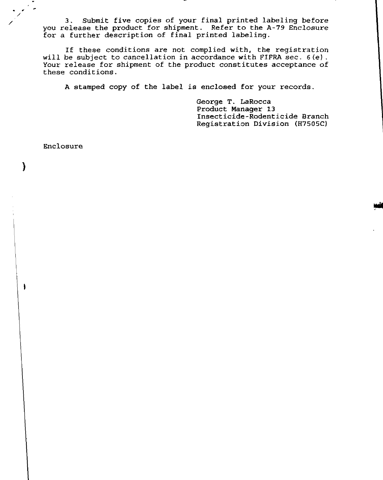3. Submit five copies of your final printed labeling before you release the product for shipment. Refer to the A-79 Enclosure for a further description of final printed labeling.

If these conditions are not complied with, the registration will be subject to cancellation in accordance with FIFRA sec. 6(e). Your release for shipment of the product constitutes acceptance of these conditions.

A stamped copy of the label is enclosed for your records.

George T. LaRocca Product Manager 13 Insecticide-Rodenticide Branch Registration Division (H7S0SC)

Enclosure

· , /

)

I

/